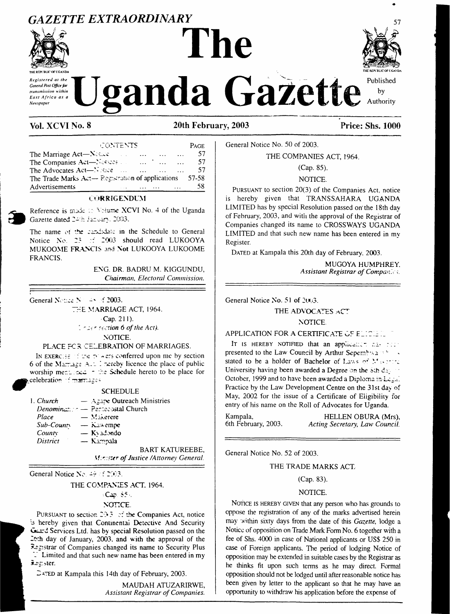## GAZETTE EXTRAORDINARY



red at the General Post Office for transmission within East Africa as a Newspaper

# The



Published by Authority

### Vol. XCVI No. 8

#### 20th February, 2003

| CONTENTS                                                                                               |          |                      | PAGE |
|--------------------------------------------------------------------------------------------------------|----------|----------------------|------|
| The Marriage Act—Nearly<br>and the contract of the season                                              | $\cdots$ | $\sim$ $\sim$ $\sim$ | 57   |
| The Companies Act-Nettees and the first contract of the first contract of the Companies Act - Netterly |          | $\mathbf{1}$         | .57  |
| The Advocates Act <sup>-3</sup> $\sim$ 322                                                             |          |                      | 57   |
| The Trade Marks $Ax - R$ egistration of applications 57-58                                             |          |                      |      |
| Advertisements                                                                                         |          |                      | 58   |

#### **CORRIGENDUM**

Reference is made to Volume XCVI No. 4 of the Uganda Gazette dated 24th Jacuary, 2003.

The name of the candidate in the Schedule to General Notice No. 23 of 2003 should read LUKOOYA MUKOOME FRANCIS and Not LUKOOYA LUKOOME **FRANCIS.** 

> ENG. DR. BADRU M. KIGGUNDU. Chairman, Electoral Commission.

General Notice No. 45, of 2003.

THE MARRIAGE ACT, 1964.

 $Cap. 211$ .

 $1 - 2$  example  $6$  of the Act). NOTICE.

#### PLACE FCR CELEBRATION OF MARRIAGES.

IN EXERCISE of the powers conferred upon me by section 6 of the Marriage A.1 1 hereby licence the place of public<br>worship mentioned - the Schedule hereto to be place for celebration marriages

|          | <b>SCHEDULE</b>                                                |
|----------|----------------------------------------------------------------|
| . Church | $-$ Agape Outreach Ministries                                  |
|          | Denomination - Pentecostal Church                              |
| Place    | $-$ Maxement                                                   |
|          | $Sub-Count$ $\longrightarrow$ K <sub>2</sub> <sup>3</sup> empe |
| Countx   | $-$ Ky adondo                                                  |
| District | - Kampala                                                      |
|          | <b>BART KATU</b>                                               |
|          | $M = 1$                                                        |

JREEBE, Minister of Justice /Attorney General.

General Notice No.  $49 \le 2003$ .

 $\mathbf{1}$ 

#### THE COMPANIES ACT, 1964.  $5Cap.85%$ NOTICE.

PURSUANT to section 20.3 of the Companies Act, notice is hereby given that Continental Detective And Security Gurd Services Ltd. has by special Resolution passed on the Loth day of January, 2003, and with the approval of the Registrar of Companies changed its name to Security Plus I Limited and that such new name has been entered in my senster.

DATED at Kampala this 14th day of February, 2003.

MAUDAH ATUZARIRWE, Assistant Registrar of Companies.

General Notice No. 50 of 2003.

THE COMPANIES ACT, 1964.

(Cap. 85).

#### NOTICE.

PURSUANT to section 20(3) of the Companies Act, notice is hereby given that TRANSSAHARA UGANDA LIMITED has by special Resolution passed on the 18th day of February, 2003, and with the approval of the Registrar of Companies changed its name to CROSSWAYS UGANDA LIMITED and that such new name has been entered in my Register.

DATED at Kampala this 20th day of February, 2003.

MUGOYA HUMPHREY. Assistant Registrar of Companies.

General Notice No. 51 of 2003.

THE ADVOCATES ACT

#### NOTICE.

#### APPLICATION FOR A CERTIFICATE OF ELICILIL

IT IS HEREBY NOTIFIED that an applicant raise for presented to the Law Council by Arthur Sepembra and stated to be a holder of Bachelor of Laws of Macritic University having been awarded a Degree on the sth day. October, 1999 and to have been awarded a Diploma in Legal Practice by the Law Development Centre on the 31st day of May, 2002 for the issue of a Certificate of Eligibility for entry of his name on the Roll of Advocates for Uganda.

| Kampala,            | HELLEN OBURA (Mrs),            |
|---------------------|--------------------------------|
| 6th February, 2003. | Acting Secretary, Law Council. |

General Notice No. 52 of 2003.

#### THE TRADE MARKS ACT.

#### (Cap. 83).

#### NOTICE.

NOTICE IS HEREBY GIVEN that any person who has grounds to oppose the registration of any of the marks advertised herein may within sixty days from the date of this Gazette, lodge a Notice of opposition on Trade Mark Form No. 6 together with a fee of Shs. 4000 in case of National applicants or US\$ 250 in case of Foreign applicants. The period of lodging Notice of opposition may be extended in suitable cases by the Registrar as he thinks fit upon such terms as he may direct. Formal opposition should not be lodged until after reasonable notice has been given by letter to the applicant so that he may have an opportunity to withdraw his application before the expense of

**Price: Shs. 1000**